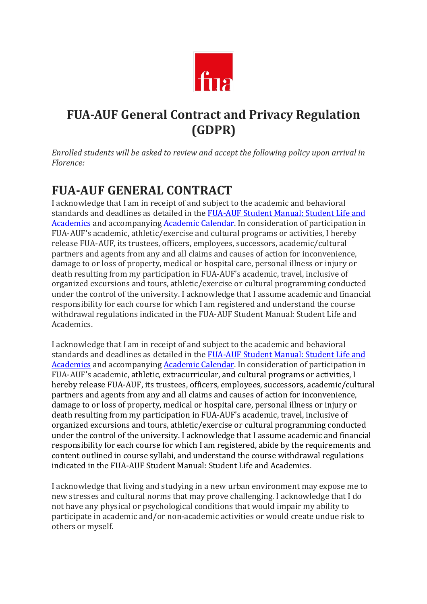

# **FUA-AUF General Contract and Privacy Regulation (GDPR)**

*Enrolled students will be asked to review and accept the following policy upon arrival in Florence:*

# **FUA-AUF GENERAL CONTRACT**

I acknowledge that I am in receipt of and subject to the academic and behavioral standards and deadlines as detailed in the FUA-AUF Student Manual: Student Life and Academics and accompanying Academic Calendar. In consideration of participation in FUA-AUF's academic, athletic/exercise and cultural programs or activities, I hereby release FUA-AUF, its trustees, officers, employees, successors, academic/cultural partners and agents from any and all claims and causes of action for inconvenience, damage to or loss of property, medical or hospital care, personal illness or injury or death resulting from my participation in FUA-AUF's academic, travel, inclusive of organized excursions and tours, athletic/exercise or cultural programming conducted under the control of the university. I acknowledge that I assume academic and financial responsibility for each course for which I am registered and understand the course withdrawal regulations indicated in the FUA-AUF Student Manual: Student Life and Academics.

I acknowledge that I am in receipt of and subject to the academic and behavioral standards and deadlines as detailed in the FUA-AUF Student Manual: Student Life and Academics and accompanying Academic Calendar. In consideration of participation in FUA-AUF's academic, athletic, extracurricular, and cultural programs or activities, I hereby release FUA-AUF, its trustees, officers, employees, successors, academic/cultural partners and agents from any and all claims and causes of action for inconvenience, damage to or loss of property, medical or hospital care, personal illness or injury or death resulting from my participation in FUA-AUF's academic, travel, inclusive of organized excursions and tours, athletic/exercise or cultural programming conducted under the control of the university. I acknowledge that I assume academic and financial responsibility for each course for which I am registered, abide by the requirements and content outlined in course syllabi, and understand the course withdrawal regulations indicated in the FUA-AUF Student Manual: Student Life and Academics.

I acknowledge that living and studying in a new urban environment may expose me to new stresses and cultural norms that may prove challenging. I acknowledge that I do not have any physical or psychological conditions that would impair my ability to participate in academic and/or non-academic activities or would create undue risk to others or myself.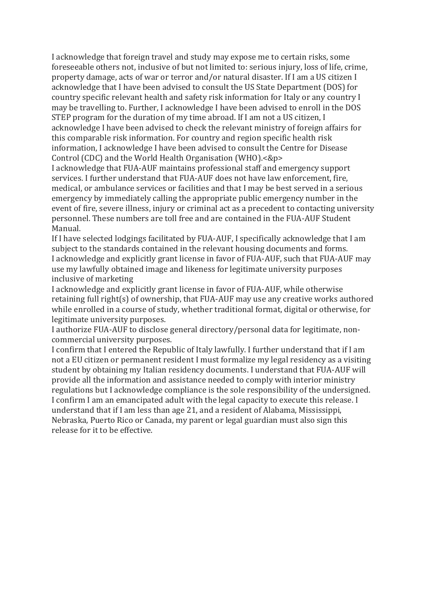I acknowledge that foreign travel and study may expose me to certain risks, some foreseeable others not, inclusive of but not limited to: serious injury, loss of life, crime, property damage, acts of war or terror and/or natural disaster. If I am a US citizen I acknowledge that I have been advised to consult the US State Department (DOS) for country specific relevant health and safety risk information for Italy or any country I may be travelling to. Further, I acknowledge I have been advised to enroll in the DOS STEP program for the duration of my time abroad. If I am not a US citizen, I acknowledge I have been advised to check the relevant ministry of foreign affairs for this comparable risk information. For country and region specific health risk information, I acknowledge I have been advised to consult the Centre for Disease Control (CDC) and the World Health Organisation (WHO).<&p>

I acknowledge that FUA-AUF maintains professional staff and emergency support services. I further understand that FUA-AUF does not have law enforcement, fire, medical, or ambulance services or facilities and that I may be best served in a serious emergency by immediately calling the appropriate public emergency number in the event of fire, severe illness, injury or criminal act as a precedent to contacting university personnel. These numbers are toll free and are contained in the FUA-AUF Student Manual.

If I have selected lodgings facilitated by FUA-AUF, I specifically acknowledge that I am subject to the standards contained in the relevant housing documents and forms. I acknowledge and explicitly grant license in favor of FUA-AUF, such that FUA-AUF may use my lawfully obtained image and likeness for legitimate university purposes inclusive of marketing

I acknowledge and explicitly grant license in favor of FUA-AUF, while otherwise retaining full right(s) of ownership, that  $FUA-AUF$  may use any creative works authored while enrolled in a course of study, whether traditional format, digital or otherwise, for legitimate university purposes.

I authorize FUA-AUF to disclose general directory/personal data for legitimate, noncommercial university purposes.

I confirm that I entered the Republic of Italy lawfully. I further understand that if I am not a EU citizen or permanent resident I must formalize my legal residency as a visiting student by obtaining my Italian residency documents. I understand that FUA-AUF will provide all the information and assistance needed to comply with interior ministry regulations but I acknowledge compliance is the sole responsibility of the undersigned. I confirm I am an emancipated adult with the legal capacity to execute this release. I understand that if I am less than age 21, and a resident of Alabama, Mississippi, Nebraska, Puerto Rico or Canada, my parent or legal guardian must also sign this release for it to be effective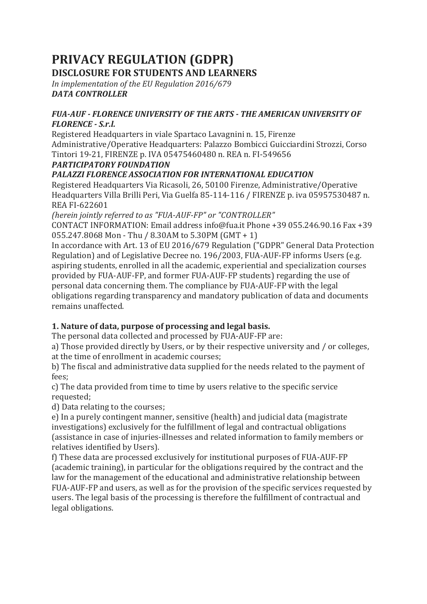# **PRIVACY REGULATION (GDPR) DISCLOSURE FOR STUDENTS AND LEARNERS**

In implementation of the EU Regulation 2016/679 *DATA CONTROLLER*

#### **FUA-AUF - FLORENCE UNIVERSITY OF THE ARTS - THE AMERICAN UNIVERSITY OF** *FLORENCE - S.r.l.*

Registered Headquarters in viale Spartaco Lavagnini n. 15, Firenze Administrative/Operative Headquarters: Palazzo Bombicci Guicciardini Strozzi, Corso Tintori 19-21, FIRENZE p. IVA 05475460480 n. REA n. FI-549656

### *PARTICIPATORY FOUNDATION*

# *PALAZZI FLORENCE ASSOCIATION FOR INTERNATIONAL EDUCATION*

Registered Headquarters Via Ricasoli, 26, 50100 Firenze, Administrative/Operative Headquarters Villa Brilli Peri, Via Guelfa 85-114-116 / FIRENZE p. iva 05957530487 n. REA FI-622601

*(herein jointly referred to as "FUA-AUF-FP" or "CONTROLLER"* 

CONTACT INFORMATION: Email address info@fua.it Phone  $+39$  055.246.90.16 Fax  $+39$  $055.247.8068$  Mon - Thu / 8.30AM to 5.30PM (GMT + 1)

In accordance with Art. 13 of EU 2016/679 Regulation ("GDPR" General Data Protection Regulation) and of Legislative Decree no. 196/2003, FUA-AUF-FP informs Users (e.g. aspiring students, enrolled in all the academic, experiential and specialization courses provided by FUA-AUF-FP, and former FUA-AUF-FP students) regarding the use of personal data concerning them. The compliance by FUA-AUF-FP with the legal obligations regarding transparency and mandatory publication of data and documents remains unaffected

# **1.** Nature of data, purpose of processing and legal basis.

The personal data collected and processed by FUA-AUF-FP are:

a) Those provided directly by Users, or by their respective university and / or colleges, at the time of enrollment in academic courses;

b) The fiscal and administrative data supplied for the needs related to the payment of fees;

c) The data provided from time to time by users relative to the specific service requested;

d) Data relating to the courses;

e) In a purely contingent manner, sensitive (health) and judicial data (magistrate investigations) exclusively for the fulfillment of legal and contractual obligations (assistance in case of injuries-illnesses and related information to family members or relatives identified by Users).

f) These data are processed exclusively for institutional purposes of FUA-AUF-FP (academic training), in particular for the obligations required by the contract and the law for the management of the educational and administrative relationship between FUA-AUF-FP and users, as well as for the provision of the specific services requested by users. The legal basis of the processing is therefore the fulfillment of contractual and legal obligations.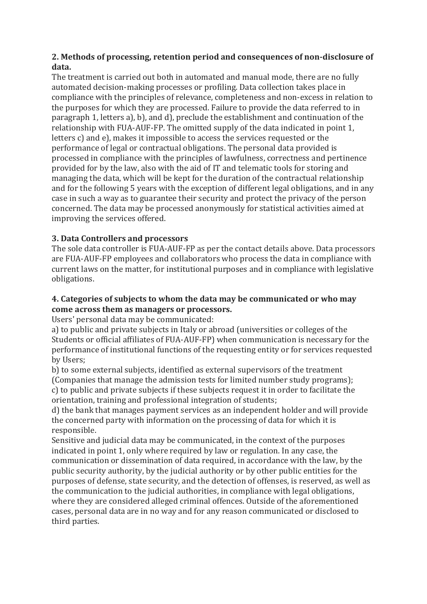# 2. Methods of processing, retention period and consequences of non-disclosure of **data.**

The treatment is carried out both in automated and manual mode, there are no fully automated decision-making processes or profiling. Data collection takes place in compliance with the principles of relevance, completeness and non-excess in relation to the purposes for which they are processed. Failure to provide the data referred to in paragraph 1, letters a), b), and d), preclude the establishment and continuation of the relationship with FUA-AUF-FP. The omitted supply of the data indicated in point 1, letters  $c$ ) and  $e$ ), makes it impossible to access the services requested or the performance of legal or contractual obligations. The personal data provided is processed in compliance with the principles of lawfulness, correctness and pertinence provided for by the law, also with the aid of IT and telematic tools for storing and managing the data, which will be kept for the duration of the contractual relationship and for the following 5 years with the exception of different legal obligations, and in any case in such a way as to guarantee their security and protect the privacy of the person concerned. The data may be processed anonymously for statistical activities aimed at improving the services offered.

# **3. Data Controllers and processors**

The sole data controller is FUA-AUF-FP as per the contact details above. Data processors are FUA-AUF-FP employees and collaborators who process the data in compliance with current laws on the matter, for institutional purposes and in compliance with legislative obligations.

### **4.** Categories of subjects to whom the data may be communicated or who may come across them as managers or processors.

Users' personal data may be communicated:

a) to public and private subjects in Italy or abroad (universities or colleges of the Students or official affiliates of FUA-AUF-FP) when communication is necessary for the performance of institutional functions of the requesting entity or for services requested by Users;

b) to some external subjects, identified as external supervisors of the treatment (Companies that manage the admission tests for limited number study programs); c) to public and private subjects if these subjects request it in order to facilitate the orientation, training and professional integration of students;

d) the bank that manages payment services as an independent holder and will provide the concerned party with information on the processing of data for which it is responsible.

Sensitive and judicial data may be communicated, in the context of the purposes indicated in point 1, only where required by law or regulation. In any case, the communication or dissemination of data required, in accordance with the law, by the public security authority, by the judicial authority or by other public entities for the purposes of defense, state security, and the detection of offenses, is reserved, as well as the communication to the judicial authorities, in compliance with legal obligations, where they are considered alleged criminal offences. Outside of the aforementioned cases, personal data are in no way and for any reason communicated or disclosed to third parties.